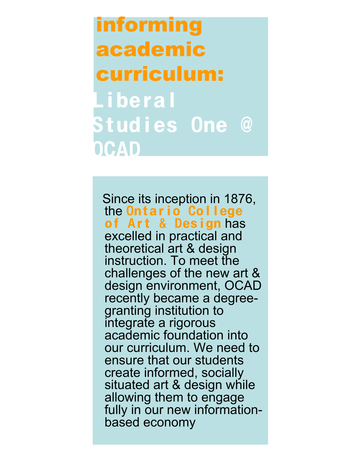informing academic curriculum: Liberal Stud i es One @ OCAD

Since its inception in 1876, the Ontario College of Art & Design has excelled in practical and theoretical art & design instruction. To meet the challenges of the new art & design environment, OCAD recently became <sup>a</sup> degree- granting institution to integrate a rigorous academic foundation into our curriculum. We need to ensure that our students create informed, socially situated art & design while allowing them to engage fully in our new information- based economy.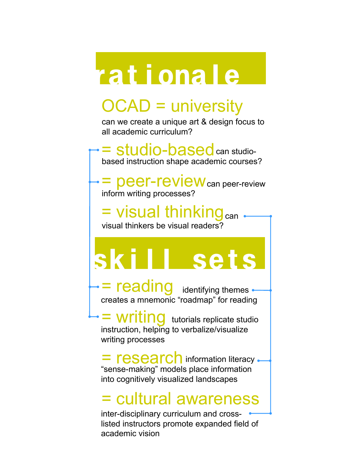## rat i ona l e

## OCAD = university

can we create a unique art & design focus to all academic curriculum?

= studio-based can studiobased instruction shape academic courses?

= peer-review can peer-review inform writing processes?

= visual thinking<sub>can</sub> visual thinkers be visual readers?

# i I l sets

= reading identifying themes creates a mnemonic "roadmap" for reading

= writing tutorials replicate studio instruction, helping to verbalize/visualize writing processes

= research information literacy "sense-making" models place information into cognitively visualized landscapes

## = cultural awareness

inter-disciplinary curriculum and crosslisted instructors promote expanded field of academic vision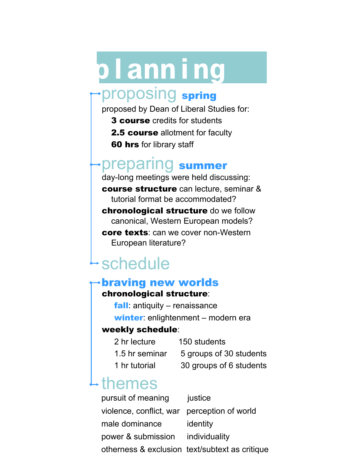# p l ann i ng

### proposing spring

proposed by Dean of Liberal Studies for:

- **3 course** credits for students
- **2.5 course** allotment for faculty
- **60 hrs** for library staff

## preparing summer

day-long meetings were held discussing: course structure can lecture, seminar & tutorial format be accommodated?

chronological structure do we follow canonical, Western European models?

core texts: can we cover non-Western European literature?

## schedule

#### braving new worlds chronological structure:

fall: antiquity – renaissance winter: enlightenment – modern era

#### weekly schedule:

- 2 hr lecture 150 students
- 1.5 hr seminar 5 groups of 30 students
	-
- 1 hr tutorial 30 groups of 6 students

### themes

pursuit of meaning justice violence, conflict, war perception of world male dominance identity power & submission individuality otherness & exclusion text/subtext as critique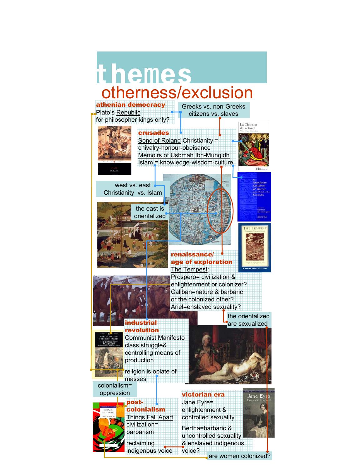## otherness/exclusion themes athenian democracy

Plato's Republic for philosopher kings only? Greeks vs. non-Greeks citizens vs. slaves

La Chanson<br>de Roland



crusades Song of Roland Christianity = chivalry-honour-obeisance Memoirs of Usbmah Ibn-Munqidh Islam = knowledge-wisdom-culture

west vs. east Christianity vs. Islam



post-

masses

colonialism= oppression

> colonialism Things Fall Apart civilization= barbarism reclaiming indigenous voice

industrial revolution

production

Communist Manifesto class struggle& controlling means of

religion is opiate of

renaissance/ age of exploration The Tempest:



Prospero= civilization & enlightenment or colonizer? Caliban=nature & barbaric or the colonized other? Ariel=enslaved sexuality?

> the orientalized are sexualized



victorian era Jane Eyre= enlightenment & controlled sexuality

Bertha=barbaric & uncontrolled sexuality & enslaved indigenous



voice?

are women colonized?